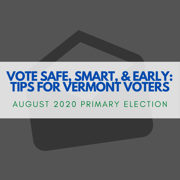# **VOTE SAFE, SMART, & EARLY: TIPS FOR VERMONT VOTERS**

## AUGUST 2020 PRIMARY ELECTION

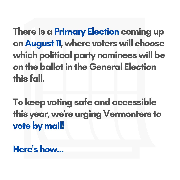## There is a Primary Election coming up on August 11, where voters will choose which political party nominees will be on the ballot in the General Election this fall.

## To keep voting safe and accessible this year,we 're urging Vermonters to vote by mail!

Here<sup>'</sup> s how...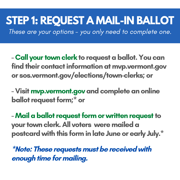- Call your town clerk to request a ballot. You can find their contact information at mvp.vermont.gov or sos.vermont.gov/elections/town-clerks; or

- Visit mvp.vermont.gov and complete an online ballot request form;\* or

- Mail a ballot request form or written request to your town clerk. All voters were mailed a postcard with this form in late June or early July.\*

\*Note: These requests must be received with enough time for mailing.

**STEP 1: REQUEST A MAIL-IN BALLOT** These are your options - you only need to complete one.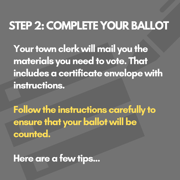Your town clerk will mail you the materials you need to vote. That includes a certificate envelope with instructions.

# Followthe instructions carefully to ensure that your ballot will be

## counted.

## Here are a few tips...

# **STEP 2: COMPLETE YOUR BALLOT**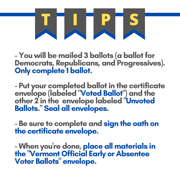### - You will be mailed 3 ballots (a ballot for Democrats, Republicans, and Progressives). Only complete 1 ballot.

- Put your completed ballot in the certificate envelope (labeled "Voted Ballot") and the

- Be sure to complete and sign the oath on the certificate envelope.

### other 2 in the envelope labeled "Unvoted Ballots. " Seal all envelopes.

- When you 're done, place all materials in the "Vermont Official Early or Absentee Voter Ballots " envelope.

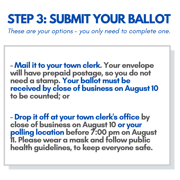- Mail it to your town clerk. Your envelope will have prepaid postage, so you do not need a stamp. Your ballot must be received by close of business on August 10 to be counted; or

### - Drop it off at your town clerk's office by close of business on August 10 or your polling location before 7:00 pm on August 11. Please wear a mask and follow public health guidelines, to keep everyone safe.

## **STEP 3: SUBMIT YOUR BALLOT** These are your options - you only need to complete one.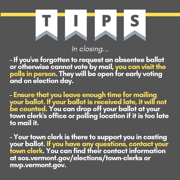- If you 've forgotten to request an absentee ballot or otherwise cannot vote by mail, you can visit the polls in person. They will be open for early voting and on election day.

- Ensure that you leave enough time for mailing your ballot. If your ballotis received late, it will not be counted. You can drop off your ballot at your town clerk's office or polling location if it is too late to mail it.

- Your town clerk is there to support you in casting your ballot. If you have any questions, contact your town clerk. You can find their contact information at sos.vermont.gov/elections/town-clerks or mvp.vermont.gov.

In closing...